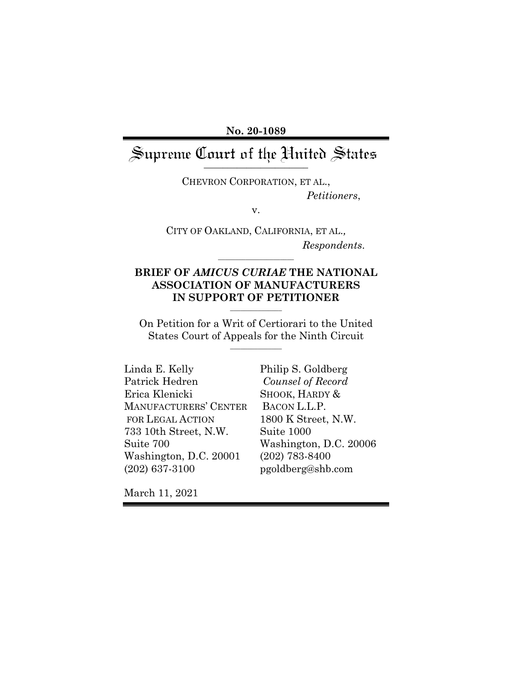**No. 20-1089**

# Supreme Court of the United States

CHEVRON CORPORATION, ET AL., *Petitioners*,

v.

CITY OF OAKLAND, CALIFORNIA, ET AL.*, Respondents*.

## **BRIEF OF** *AMICUS CURIAE* **THE NATIONAL ASSOCIATION OF MANUFACTURERS IN SUPPORT OF PETITIONER**

*\_\_\_\_\_\_\_\_\_\_\_\_\_\_\_*

*\_\_\_\_\_\_\_\_\_\_\_\_\_\_\_\_\_\_\_\_\_\_*

On Petition for a Writ of Certiorari to the United States Court of Appeals for the Ninth Circuit *\_\_\_\_\_\_\_\_\_\_\_\_\_\_\_*

| Linda E. Kelly          | Philip S. Goldberg |
|-------------------------|--------------------|
| Patrick Hedren          | Counsel of Record  |
| Erica Klenicki          | SHOOK, HARDY &     |
| MANUFACTURERS' CENTER   | BACON L.L.P.       |
| <b>FOR LEGAL ACTION</b> | 1800 K Street, N.V |
| 733 10th Street, N.W.   | Suite 1000         |
| Suite 700               | Washington, D.C.   |
| Washington, D.C. 20001  | $(202)$ 783-8400   |
| $(202)$ 637-3100        | pgoldberg@shb.con  |

 $\it{ord}$  $\&$  $N.W.$ .C. 20006 p.com

March 11, 2021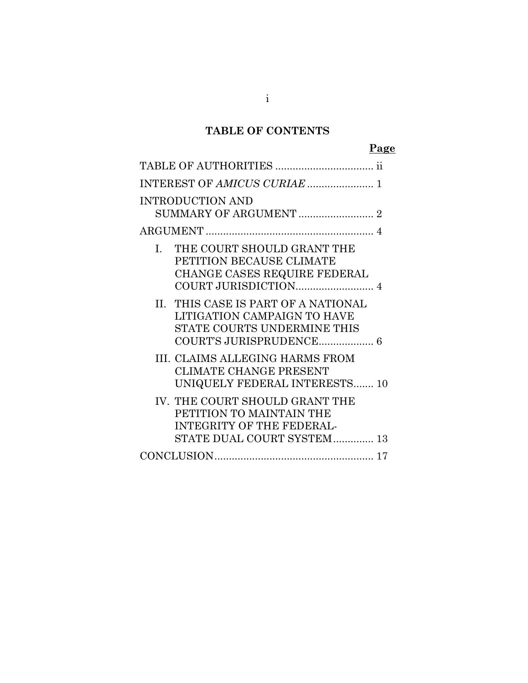# **TABLE OF CONTENTS**

# **Page**

| <b>INTRODUCTION AND</b>                                                                                                       |
|-------------------------------------------------------------------------------------------------------------------------------|
|                                                                                                                               |
| THE COURT SHOULD GRANT THE<br>$I_{\cdot}$<br>PETITION BECAUSE CLIMATE<br>CHANGE CASES REQUIRE FEDERAL<br>COURT JURISDICTION 4 |
| II. THIS CASE IS PART OF A NATIONAL<br>LITIGATION CAMPAIGN TO HAVE<br>STATE COURTS UNDERMINE THIS                             |
| III. CLAIMS ALLEGING HARMS FROM<br>CLIMATE CHANGE PRESENT<br>UNIQUELY FEDERAL INTERESTS 10                                    |
| IV. THE COURT SHOULD GRANT THE<br>PETITION TO MAINTAIN THE<br><b>INTEGRITY OF THE FEDERAL-</b><br>STATE DUAL COURT SYSTEM 13  |
|                                                                                                                               |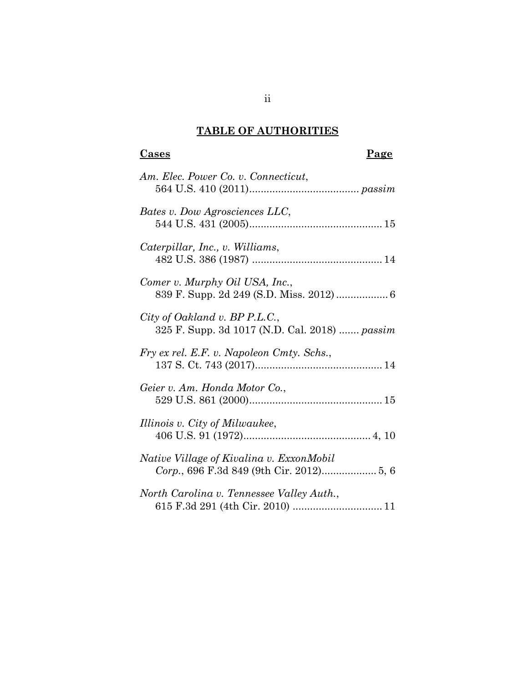# **TABLE OF AUTHORITIES**

# **Cases** Page

| Am. Elec. Power Co. v. Connecticut,                                            |
|--------------------------------------------------------------------------------|
| Bates v. Dow Agrosciences LLC,                                                 |
| Caterpillar, Inc., v. Williams,                                                |
| Comer v. Murphy Oil USA, Inc.,                                                 |
| City of Oakland v. BP P.L.C.,<br>325 F. Supp. 3d 1017 (N.D. Cal. 2018)  passim |
| Fry ex rel. E.F. v. Napoleon Cmty. Schs.,                                      |
| Geier v. Am. Honda Motor Co.,                                                  |
| Illinois v. City of Milwaukee,                                                 |
| Native Village of Kivalina v. ExxonMobil                                       |
| North Carolina v. Tennessee Valley Auth.,                                      |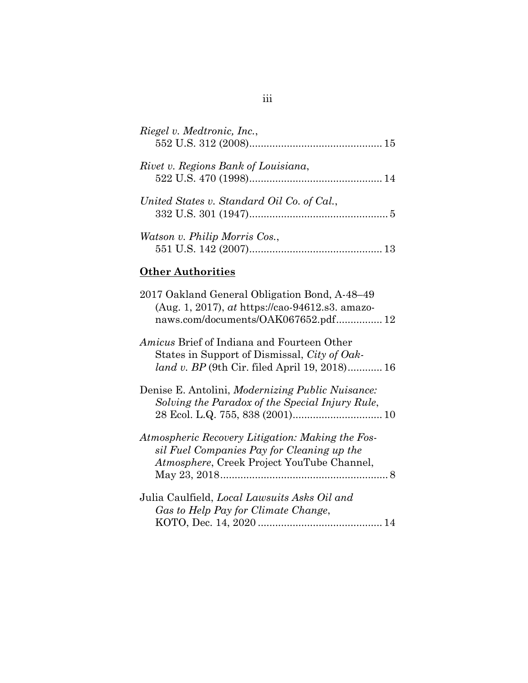| Riegel v. Medtronic, Inc.,                 |  |
|--------------------------------------------|--|
| Rivet v. Regions Bank of Louisiana,        |  |
| United States v. Standard Oil Co. of Cal., |  |
| Watson v. Philip Morris Cos.,              |  |

# **Other Authorities**

| 2017 Oakland General Obligation Bond, A-48–49<br>(Aug. 1, 2017), at https://cao-94612.s3. amazo-<br>naws.com/documents/OAK067652.pdf 12                   |
|-----------------------------------------------------------------------------------------------------------------------------------------------------------|
| <i>Amicus</i> Brief of Indiana and Fourteen Other<br>States in Support of Dismissal, City of Oak-<br><i>land v. BP</i> (9th Cir. filed April 19, 2018) 16 |
| Denise E. Antolini, Modernizing Public Nuisance:<br>Solving the Paradox of the Special Injury Rule,                                                       |
| Atmospheric Recovery Litigation: Making the Fos-<br>sil Fuel Companies Pay for Cleaning up the<br>Atmosphere, Creek Project YouTube Channel,              |
| Julia Caulfield, <i>Local Lawsuits Asks Oil and</i><br>Gas to Help Pay for Climate Change,                                                                |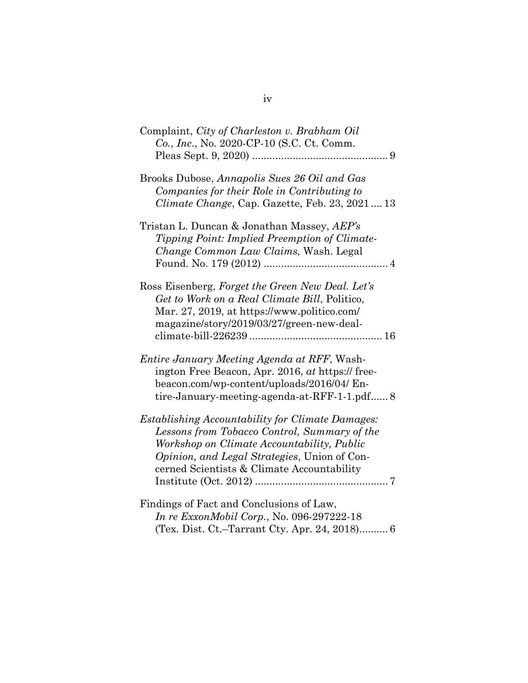| Complaint, City of Charleston v. Brabham Oil<br>Co., Inc., No. 2020-CP-10 (S.C. Ct. Comm.                                                                                                                                                           |
|-----------------------------------------------------------------------------------------------------------------------------------------------------------------------------------------------------------------------------------------------------|
| Brooks Dubose, Annapolis Sues 26 Oil and Gas<br>Companies for their Role in Contributing to<br>Climate Change, Cap. Gazette, Feb. 23, 202113                                                                                                        |
| Tristan L. Duncan & Jonathan Massey, AEP's<br>Tipping Point: Implied Preemption of Climate-<br>Change Common Law Claims, Wash. Legal                                                                                                                |
| Ross Eisenberg, Forget the Green New Deal. Let's<br>Get to Work on a Real Climate Bill, Politico,<br>Mar. 27, 2019, at https://www.politico.com/<br>magazine/story/2019/03/27/green-new-deal-                                                       |
| <i>Entire January Meeting Agenda at RFF, Wash-</i><br>ington Free Beacon, Apr. 2016, at https:// free-<br>beacon.com/wp-content/uploads/2016/04/ En-<br>tire-January-meeting-agenda-at-RFF-1-1.pdf 8                                                |
| Establishing Accountability for Climate Damages:<br>Lessons from Tobacco Control, Summary of the<br>Workshop on Climate Accountability, Public<br><i>Opinion, and Legal Strategies, Union of Con-</i><br>cerned Scientists & Climate Accountability |
| Findings of Fact and Conclusions of Law,<br>In re ExxonMobil Corp., No. 096-297222-18                                                                                                                                                               |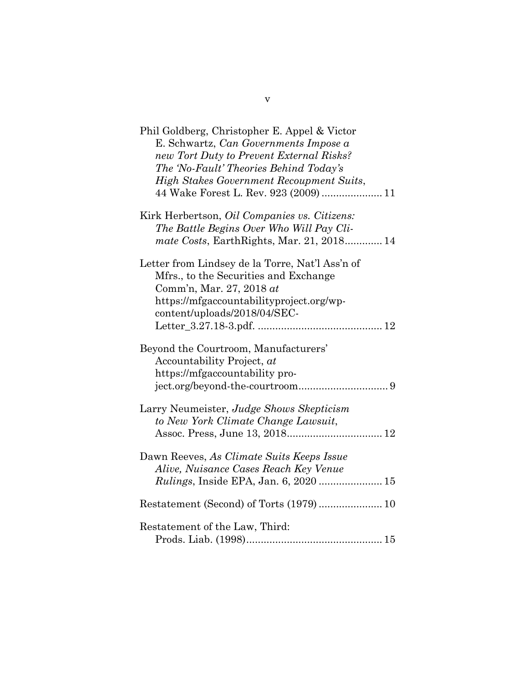| Phil Goldberg, Christopher E. Appel & Victor<br>E. Schwartz, Can Governments Impose a<br>new Tort Duty to Prevent External Risks?<br>The 'No-Fault' Theories Behind Today's<br><b>High Stakes Government Recoupment Suits,</b><br>44 Wake Forest L. Rev. 923 (2009)  11 |
|-------------------------------------------------------------------------------------------------------------------------------------------------------------------------------------------------------------------------------------------------------------------------|
| Kirk Herbertson, <i>Oil Companies vs. Citizens:</i><br>The Battle Begins Over Who Will Pay Cli-<br>mate Costs, EarthRights, Mar. 21, 2018 14                                                                                                                            |
| Letter from Lindsey de la Torre, Nat'l Ass'n of<br>Mfrs., to the Securities and Exchange<br>Comm'n, Mar. 27, 2018 at<br>https://mfgaccountabilityproject.org/wp-<br>content/uploads/2018/04/SEC-                                                                        |
| Beyond the Courtroom, Manufacturers'<br>Accountability Project, at<br>https://mfgaccountability pro-                                                                                                                                                                    |
| Larry Neumeister, Judge Shows Skepticism<br>to New York Climate Change Lawsuit,                                                                                                                                                                                         |
| Dawn Reeves, As Climate Suits Keeps Issue<br>Alive, Nuisance Cases Reach Key Venue                                                                                                                                                                                      |
|                                                                                                                                                                                                                                                                         |
| Restatement of the Law, Third:                                                                                                                                                                                                                                          |

v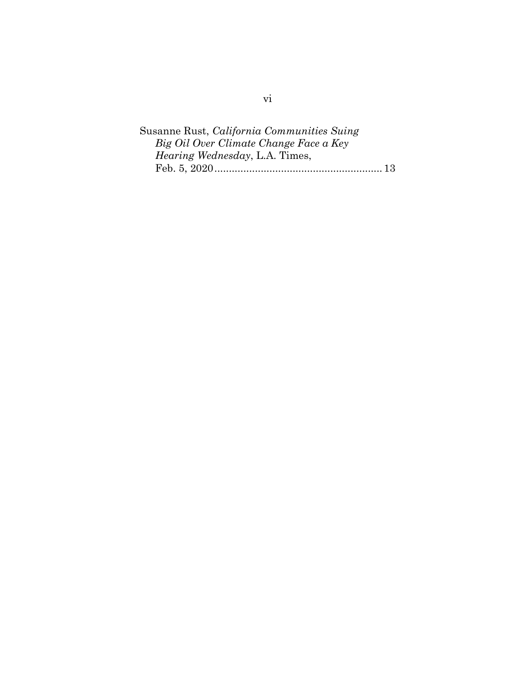Susanne Rust, *California Communities Suing Big Oil Over Climate Change Face a Key Hearing Wednesday*, L.A. Times, Feb. 5, 2020.......................................................... 13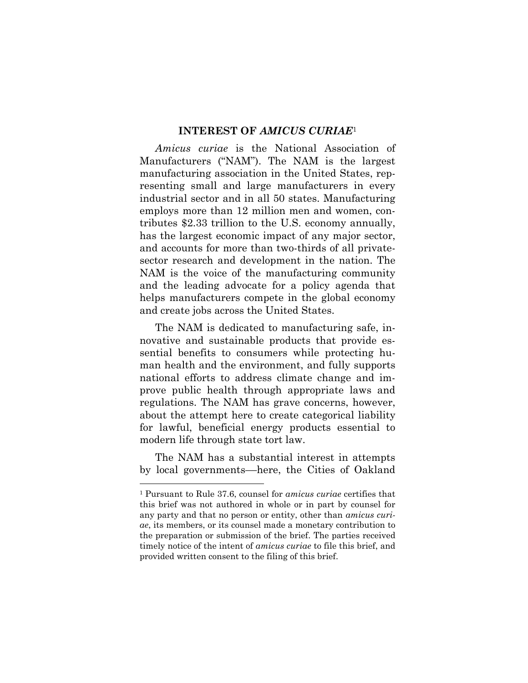#### **INTEREST OF** *AMICUS CURIAE*<sup>1</sup>

*Amicus curiae* is the National Association of Manufacturers ("NAM"). The NAM is the largest manufacturing association in the United States, representing small and large manufacturers in every industrial sector and in all 50 states. Manufacturing employs more than 12 million men and women, contributes \$2.33 trillion to the U.S. economy annually, has the largest economic impact of any major sector, and accounts for more than two-thirds of all privatesector research and development in the nation. The NAM is the voice of the manufacturing community and the leading advocate for a policy agenda that helps manufacturers compete in the global economy and create jobs across the United States.

The NAM is dedicated to manufacturing safe, innovative and sustainable products that provide essential benefits to consumers while protecting human health and the environment, and fully supports national efforts to address climate change and improve public health through appropriate laws and regulations. The NAM has grave concerns, however, about the attempt here to create categorical liability for lawful, beneficial energy products essential to modern life through state tort law.

The NAM has a substantial interest in attempts by local governments––here, the Cities of Oakland

<sup>1</sup> Pursuant to Rule 37.6, counsel for *amicus curiae* certifies that this brief was not authored in whole or in part by counsel for any party and that no person or entity, other than *amicus curiae*, its members, or its counsel made a monetary contribution to the preparation or submission of the brief. The parties received timely notice of the intent of *amicus curiae* to file this brief, and provided written consent to the filing of this brief.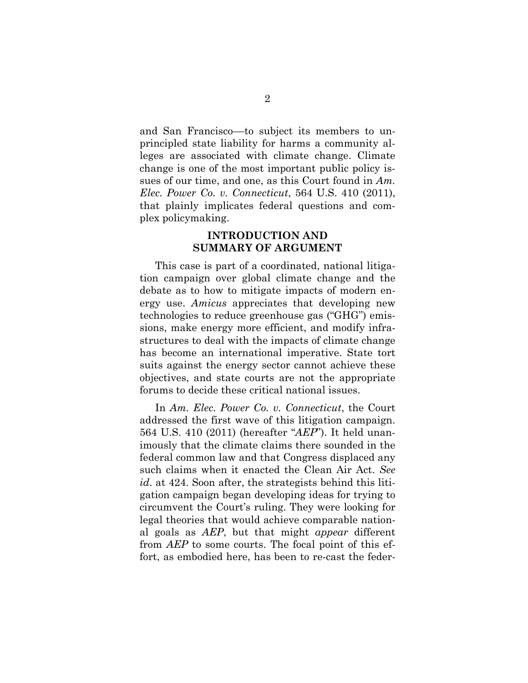and San Francisco––to subject its members to unprincipled state liability for harms a community alleges are associated with climate change. Climate change is one of the most important public policy issues of our time, and one, as this Court found in *Am. Elec. Power Co. v. Connecticut*, 564 U.S. 410 (2011), that plainly implicates federal questions and complex policymaking.

### **INTRODUCTION AND SUMMARY OF ARGUMENT**

This case is part of a coordinated, national litigation campaign over global climate change and the debate as to how to mitigate impacts of modern energy use. *Amicus* appreciates that developing new technologies to reduce greenhouse gas ("GHG") emissions, make energy more efficient, and modify infrastructures to deal with the impacts of climate change has become an international imperative. State tort suits against the energy sector cannot achieve these objectives, and state courts are not the appropriate forums to decide these critical national issues.

In *Am. Elec. Power Co. v. Connecticut*, the Court addressed the first wave of this litigation campaign. 564 U.S. 410 (2011) (hereafter "*AEP*"). It held unanimously that the climate claims there sounded in the federal common law and that Congress displaced any such claims when it enacted the Clean Air Act. *See id*. at 424. Soon after, the strategists behind this litigation campaign began developing ideas for trying to circumvent the Court's ruling. They were looking for legal theories that would achieve comparable national goals as *AEP*, but that might *appear* different from *AEP* to some courts. The focal point of this effort, as embodied here, has been to re-cast the feder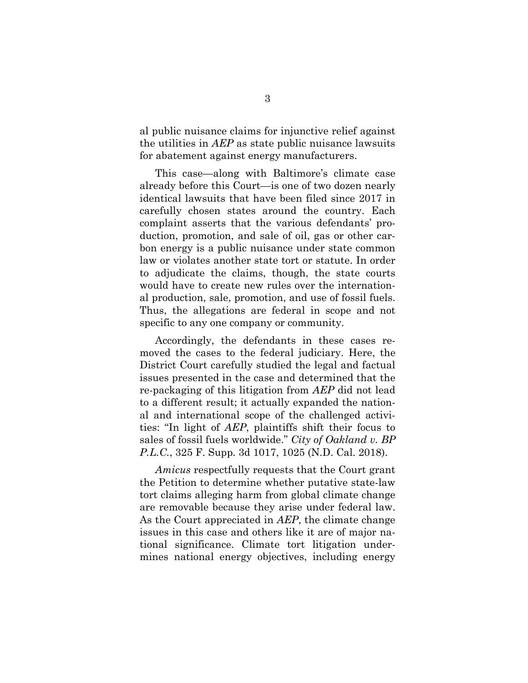al public nuisance claims for injunctive relief against the utilities in *AEP* as state public nuisance lawsuits for abatement against energy manufacturers.

This case—along with Baltimore's climate case already before this Court—is one of two dozen nearly identical lawsuits that have been filed since 2017 in carefully chosen states around the country. Each complaint asserts that the various defendants' production, promotion, and sale of oil, gas or other carbon energy is a public nuisance under state common law or violates another state tort or statute. In order to adjudicate the claims, though, the state courts would have to create new rules over the international production, sale, promotion, and use of fossil fuels. Thus, the allegations are federal in scope and not specific to any one company or community.

Accordingly, the defendants in these cases removed the cases to the federal judiciary. Here, the District Court carefully studied the legal and factual issues presented in the case and determined that the re-packaging of this litigation from *AEP* did not lead to a different result; it actually expanded the national and international scope of the challenged activities: "In light of *AEP*, plaintiffs shift their focus to sales of fossil fuels worldwide." *City of Oakland v. BP P.L.C.*, 325 F. Supp. 3d 1017, 1025 (N.D. Cal. 2018).

*Amicus* respectfully requests that the Court grant the Petition to determine whether putative state-law tort claims alleging harm from global climate change are removable because they arise under federal law. As the Court appreciated in *AEP*, the climate change issues in this case and others like it are of major national significance. Climate tort litigation undermines national energy objectives, including energy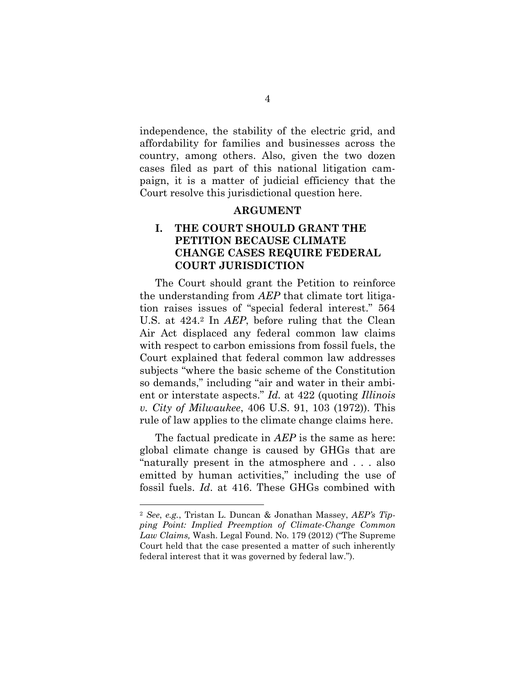independence, the stability of the electric grid, and affordability for families and businesses across the country, among others. Also, given the two dozen cases filed as part of this national litigation campaign, it is a matter of judicial efficiency that the Court resolve this jurisdictional question here.

#### **ARGUMENT**

## **I. THE COURT SHOULD GRANT THE PETITION BECAUSE CLIMATE CHANGE CASES REQUIRE FEDERAL COURT JURISDICTION**

The Court should grant the Petition to reinforce the understanding from *AEP* that climate tort litigation raises issues of "special federal interest." 564 U.S. at 424. <sup>2</sup> In *AEP*, before ruling that the Clean Air Act displaced any federal common law claims with respect to carbon emissions from fossil fuels, the Court explained that federal common law addresses subjects "where the basic scheme of the Constitution so demands," including "air and water in their ambient or interstate aspects." *Id.* at 422 (quoting *Illinois v. City of Milwaukee*, 406 U.S. 91, 103 (1972)). This rule of law applies to the climate change claims here.

The factual predicate in *AEP* is the same as here: global climate change is caused by GHGs that are "naturally present in the atmosphere and . . . also emitted by human activities," including the use of fossil fuels. *Id*. at 416. These GHGs combined with

<sup>2</sup> *See*, *e.g.*, Tristan L. Duncan & Jonathan Massey, *AEP's Tipping Point: Implied Preemption of Climate-Change Common Law Claims,* Wash. Legal Found. No. 179 (2012) ("The Supreme Court held that the case presented a matter of such inherently federal interest that it was governed by federal law.").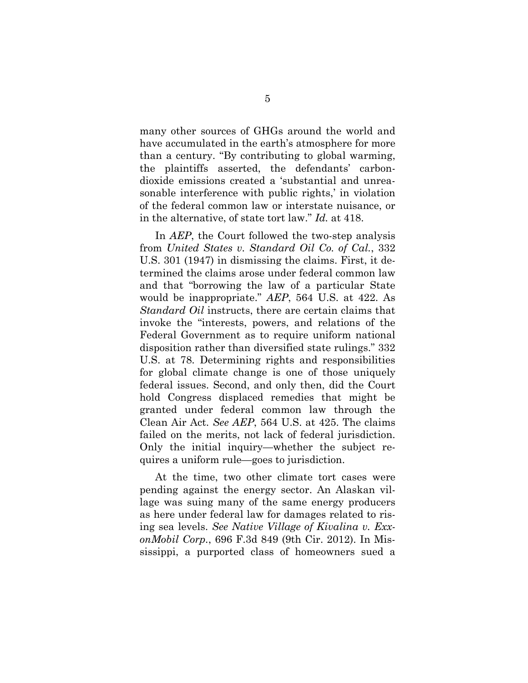many other sources of GHGs around the world and have accumulated in the earth's atmosphere for more than a century. "By contributing to global warming, the plaintiffs asserted, the defendants' carbondioxide emissions created a 'substantial and unreasonable interference with public rights,' in violation of the federal common law or interstate nuisance, or in the alternative, of state tort law." *Id.* at 418.

In *AEP*, the Court followed the two-step analysis from *United States v. Standard Oil Co. of Cal.*, 332 U.S. 301 (1947) in dismissing the claims. First, it determined the claims arose under federal common law and that "borrowing the law of a particular State would be inappropriate." *AEP*, 564 U.S. at 422. As *Standard Oil* instructs, there are certain claims that invoke the "interests, powers, and relations of the Federal Government as to require uniform national disposition rather than diversified state rulings." 332 U.S. at 78. Determining rights and responsibilities for global climate change is one of those uniquely federal issues. Second, and only then, did the Court hold Congress displaced remedies that might be granted under federal common law through the Clean Air Act. *See AEP*, 564 U.S. at 425. The claims failed on the merits, not lack of federal jurisdiction. Only the initial inquiry—whether the subject requires a uniform rule—goes to jurisdiction.

At the time, two other climate tort cases were pending against the energy sector. An Alaskan village was suing many of the same energy producers as here under federal law for damages related to rising sea levels. *See Native Village of Kivalina v. ExxonMobil Corp.*, 696 F.3d 849 (9th Cir. 2012). In Mississippi, a purported class of homeowners sued a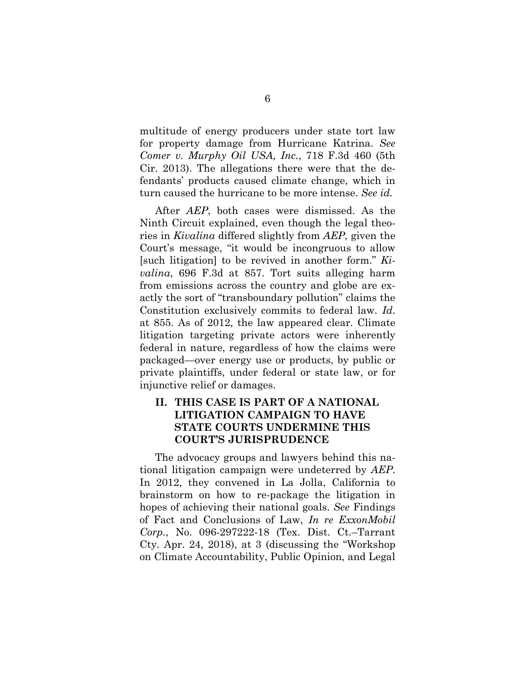multitude of energy producers under state tort law for property damage from Hurricane Katrina. *See Comer v. Murphy Oil USA, Inc.*, 718 F.3d 460 (5th Cir. 2013). The allegations there were that the defendants' products caused climate change, which in turn caused the hurricane to be more intense. *See id.*

After *AEP*, both cases were dismissed. As the Ninth Circuit explained, even though the legal theories in *Kivalina* differed slightly from *AEP*, given the Court's message, "it would be incongruous to allow [such litigation] to be revived in another form." *Kivalina*, 696 F.3d at 857. Tort suits alleging harm from emissions across the country and globe are exactly the sort of "transboundary pollution" claims the Constitution exclusively commits to federal law. *Id*. at 855. As of 2012, the law appeared clear. Climate litigation targeting private actors were inherently federal in nature, regardless of how the claims were packaged—over energy use or products, by public or private plaintiffs, under federal or state law, or for injunctive relief or damages.

## **II. THIS CASE IS PART OF A NATIONAL LITIGATION CAMPAIGN TO HAVE STATE COURTS UNDERMINE THIS COURT'S JURISPRUDENCE**

The advocacy groups and lawyers behind this national litigation campaign were undeterred by *AEP*. In 2012, they convened in La Jolla, California to brainstorm on how to re-package the litigation in hopes of achieving their national goals. *See* Findings of Fact and Conclusions of Law, *In re ExxonMobil Corp.*, No. 096-297222-18 (Tex. Dist. Ct.–Tarrant Cty. Apr. 24, 2018), at 3 (discussing the "Workshop on Climate Accountability, Public Opinion, and Legal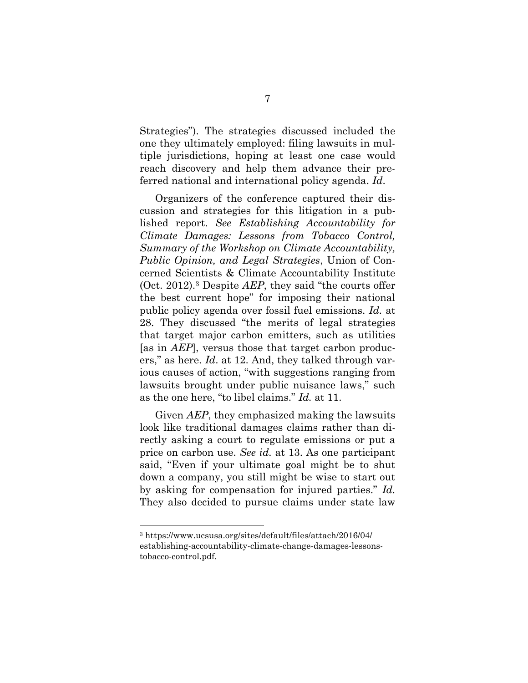Strategies"). The strategies discussed included the one they ultimately employed: filing lawsuits in multiple jurisdictions, hoping at least one case would reach discovery and help them advance their preferred national and international policy agenda. *Id*.

Organizers of the conference captured their discussion and strategies for this litigation in a published report. *See Establishing Accountability for Climate Damages: Lessons from Tobacco Control, Summary of the Workshop on Climate Accountability, Public Opinion, and Legal Strategies*, Union of Concerned Scientists & Climate Accountability Institute (Oct. 2012).<sup>3</sup> Despite *AEP*, they said "the courts offer the best current hope" for imposing their national public policy agenda over fossil fuel emissions. *Id.* at 28. They discussed "the merits of legal strategies that target major carbon emitters, such as utilities [as in *AEP*], versus those that target carbon producers," as here. *Id*. at 12. And, they talked through various causes of action, "with suggestions ranging from lawsuits brought under public nuisance laws," such as the one here, "to libel claims." *Id.* at 11.

Given *AEP*, they emphasized making the lawsuits look like traditional damages claims rather than directly asking a court to regulate emissions or put a price on carbon use. *See id.* at 13. As one participant said, "Even if your ultimate goal might be to shut down a company, you still might be wise to start out by asking for compensation for injured parties." *Id.* They also decided to pursue claims under state law

<sup>3</sup> https://www.ucsusa.org/sites/default/files/attach/2016/04/ establishing-accountability-climate-change-damages-lessonstobacco-control.pdf.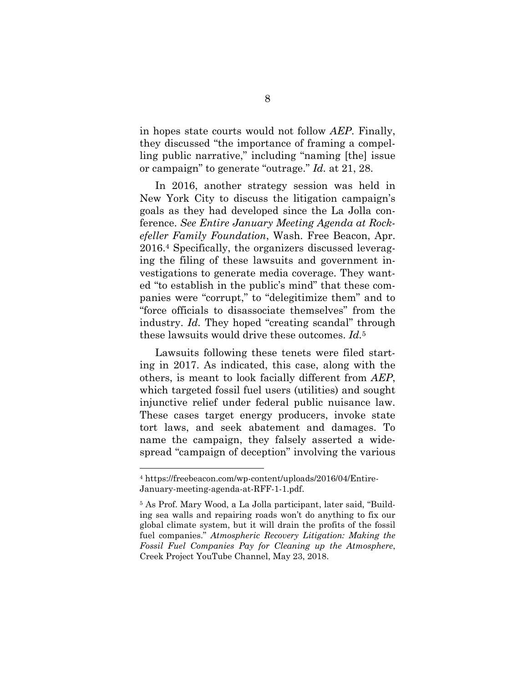in hopes state courts would not follow *AEP*. Finally, they discussed "the importance of framing a compelling public narrative," including "naming [the] issue or campaign" to generate "outrage." *Id.* at 21, 28.

In 2016, another strategy session was held in New York City to discuss the litigation campaign's goals as they had developed since the La Jolla conference. *See Entire January Meeting Agenda at Rockefeller Family Foundation*, Wash. Free Beacon, Apr. 2016.<sup>4</sup> Specifically, the organizers discussed leveraging the filing of these lawsuits and government investigations to generate media coverage. They wanted "to establish in the public's mind" that these companies were "corrupt," to "delegitimize them" and to "force officials to disassociate themselves" from the industry. *Id.* They hoped "creating scandal" through these lawsuits would drive these outcomes. *Id.*<sup>5</sup>

Lawsuits following these tenets were filed starting in 2017. As indicated, this case, along with the others, is meant to look facially different from *AEP*, which targeted fossil fuel users (utilities) and sought injunctive relief under federal public nuisance law. These cases target energy producers, invoke state tort laws, and seek abatement and damages. To name the campaign, they falsely asserted a widespread "campaign of deception" involving the various

<sup>4</sup> https://freebeacon.com/wp-content/uploads/2016/04/Entire-January-meeting-agenda-at-RFF-1-1.pdf.

<sup>5</sup> As Prof. Mary Wood, a La Jolla participant, later said, "Building sea walls and repairing roads won't do anything to fix our global climate system, but it will drain the profits of the fossil fuel companies." *Atmospheric Recovery Litigation: Making the Fossil Fuel Companies Pay for Cleaning up the Atmosphere*, Creek Project YouTube Channel, May 23, 2018.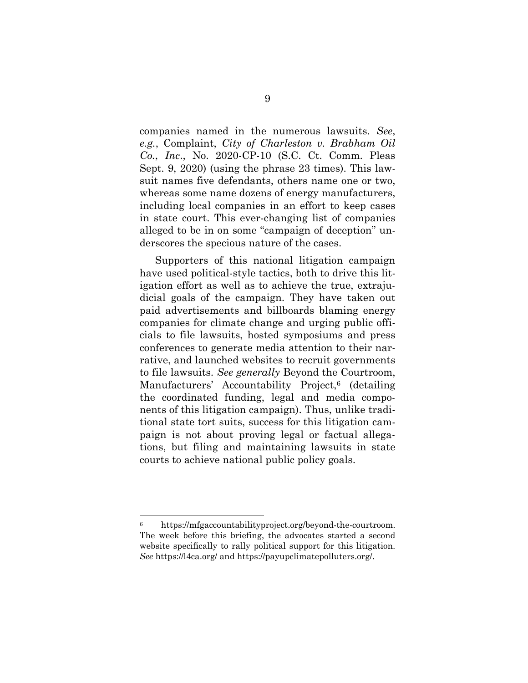companies named in the numerous lawsuits. *See*, *e.g.*, Complaint, *City of Charleston v. Brabham Oil Co.*, *Inc*., No. 2020-CP-10 (S.C. Ct. Comm. Pleas Sept. 9, 2020) (using the phrase 23 times). This lawsuit names five defendants, others name one or two, whereas some name dozens of energy manufacturers, including local companies in an effort to keep cases in state court. This ever-changing list of companies alleged to be in on some "campaign of deception" underscores the specious nature of the cases.

Supporters of this national litigation campaign have used political-style tactics, both to drive this litigation effort as well as to achieve the true, extrajudicial goals of the campaign. They have taken out paid advertisements and billboards blaming energy companies for climate change and urging public officials to file lawsuits, hosted symposiums and press conferences to generate media attention to their narrative, and launched websites to recruit governments to file lawsuits. *See generally* Beyond the Courtroom, Manufacturers' Accountability Project,<sup>6</sup> (detailing the coordinated funding, legal and media components of this litigation campaign). Thus, unlike traditional state tort suits, success for this litigation campaign is not about proving legal or factual allegations, but filing and maintaining lawsuits in state courts to achieve national public policy goals.

<sup>6</sup> https://mfgaccountabilityproject.org/beyond-the-courtroom. The week before this briefing, the advocates started a second website specifically to rally political support for this litigation. *See* https://l4ca.org/ and https://payupclimatepolluters.org/.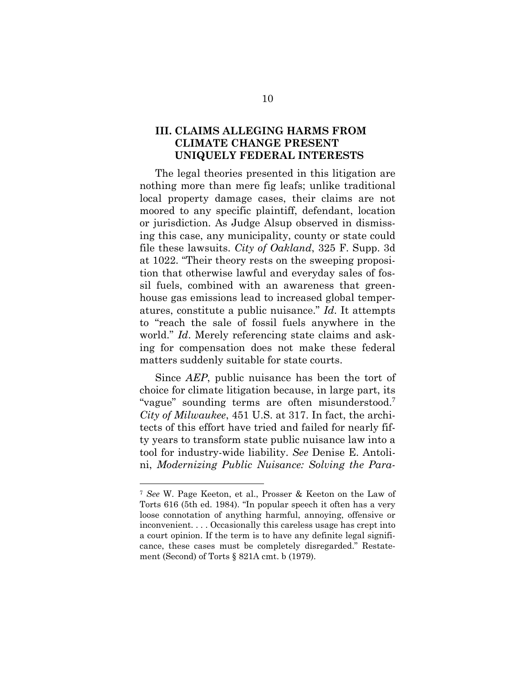## **III. CLAIMS ALLEGING HARMS FROM CLIMATE CHANGE PRESENT UNIQUELY FEDERAL INTERESTS**

The legal theories presented in this litigation are nothing more than mere fig leafs; unlike traditional local property damage cases, their claims are not moored to any specific plaintiff, defendant, location or jurisdiction. As Judge Alsup observed in dismissing this case, any municipality, county or state could file these lawsuits. *City of Oakland*, 325 F. Supp. 3d at 1022. "Their theory rests on the sweeping proposition that otherwise lawful and everyday sales of fossil fuels, combined with an awareness that greenhouse gas emissions lead to increased global temperatures, constitute a public nuisance." *Id*. It attempts to "reach the sale of fossil fuels anywhere in the world." *Id*. Merely referencing state claims and asking for compensation does not make these federal matters suddenly suitable for state courts.

Since *AEP*, public nuisance has been the tort of choice for climate litigation because, in large part, its "vague" sounding terms are often misunderstood.<sup>7</sup> *City of Milwaukee*, 451 U.S. at 317. In fact, the architects of this effort have tried and failed for nearly fifty years to transform state public nuisance law into a tool for industry-wide liability. *See* Denise E. Antolini, *Modernizing Public Nuisance: Solving the Para-*

<sup>7</sup> *See* W. Page Keeton, et al., Prosser & Keeton on the Law of Torts 616 (5th ed. 1984). "In popular speech it often has a very loose connotation of anything harmful, annoying, offensive or inconvenient. . . . Occasionally this careless usage has crept into a court opinion. If the term is to have any definite legal significance, these cases must be completely disregarded." Restatement (Second) of Torts § 821A cmt. b (1979).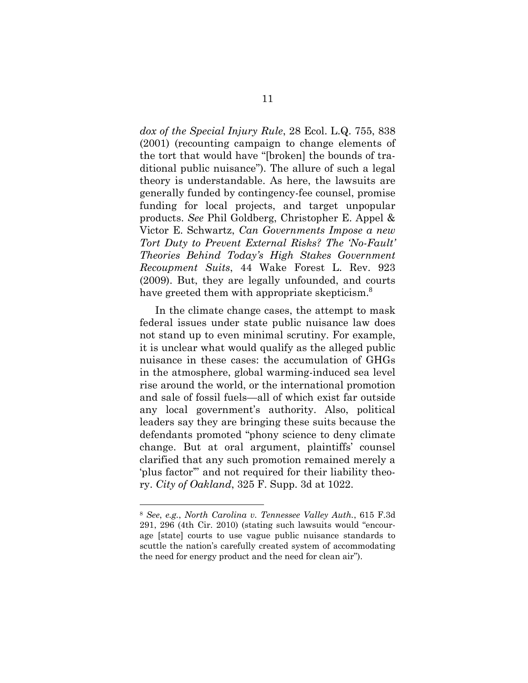*dox of the Special Injury Rule*, 28 Ecol. L.Q. 755, 838 (2001) (recounting campaign to change elements of the tort that would have "[broken] the bounds of traditional public nuisance"). The allure of such a legal theory is understandable. As here, the lawsuits are generally funded by contingency-fee counsel, promise funding for local projects, and target unpopular products. *See* Phil Goldberg, Christopher E. Appel & Victor E. Schwartz, *Can Governments Impose a new Tort Duty to Prevent External Risks? The 'No-Fault' Theories Behind Today's High Stakes Government Recoupment Suits*, 44 Wake Forest L. Rev. 923 (2009). But, they are legally unfounded, and courts have greeted them with appropriate skepticism.<sup>8</sup>

In the climate change cases, the attempt to mask federal issues under state public nuisance law does not stand up to even minimal scrutiny. For example, it is unclear what would qualify as the alleged public nuisance in these cases: the accumulation of GHGs in the atmosphere, global warming-induced sea level rise around the world, or the international promotion and sale of fossil fuels—all of which exist far outside any local government's authority. Also, political leaders say they are bringing these suits because the defendants promoted "phony science to deny climate change. But at oral argument, plaintiffs' counsel clarified that any such promotion remained merely a 'plus factor'" and not required for their liability theory. *City of Oakland*, 325 F. Supp. 3d at 1022.

<sup>8</sup> *See*, *e.g.*, *North Carolina v. Tennessee Valley Auth.*, 615 F.3d 291, 296 (4th Cir. 2010) (stating such lawsuits would "encourage [state] courts to use vague public nuisance standards to scuttle the nation's carefully created system of accommodating the need for energy product and the need for clean air").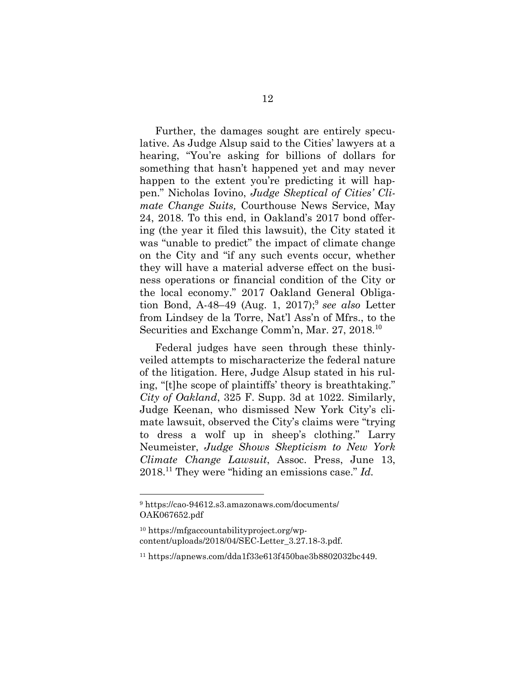Further, the damages sought are entirely speculative. As Judge Alsup said to the Cities' lawyers at a hearing, "You're asking for billions of dollars for something that hasn't happened yet and may never happen to the extent you're predicting it will happen." Nicholas Iovino, *Judge Skeptical of Cities' Climate Change Suits,* Courthouse News Service, May 24, 2018. To this end, in Oakland's 2017 bond offering (the year it filed this lawsuit), the City stated it was "unable to predict" the impact of climate change on the City and "if any such events occur, whether they will have a material adverse effect on the business operations or financial condition of the City or the local economy." 2017 Oakland General Obligation Bond, A-48–49 (Aug. 1, 2017); 9 *see also* Letter from Lindsey de la Torre, Nat'l Ass'n of Mfrs., to the Securities and Exchange Comm'n, Mar. 27, 2018.<sup>10</sup>

Federal judges have seen through these thinlyveiled attempts to mischaracterize the federal nature of the litigation. Here, Judge Alsup stated in his ruling, "[t]he scope of plaintiffs' theory is breathtaking." *City of Oakland*, 325 F. Supp. 3d at 1022. Similarly, Judge Keenan, who dismissed New York City's climate lawsuit, observed the City's claims were "trying to dress a wolf up in sheep's clothing." Larry Neumeister, *Judge Shows Skepticism to New York Climate Change Lawsuit*, Assoc. Press, June 13, 2018. <sup>11</sup> They were "hiding an emissions case." *Id.*

<sup>9</sup> https://cao-94612.s3.amazonaws.com/documents/ OAK067652.pdf

<sup>10</sup> https://mfgaccountabilityproject.org/wpcontent/uploads/2018/04/SEC-Letter\_3.27.18-3.pdf.

<sup>11</sup> https://apnews.com/dda1f33e613f450bae3b8802032bc449.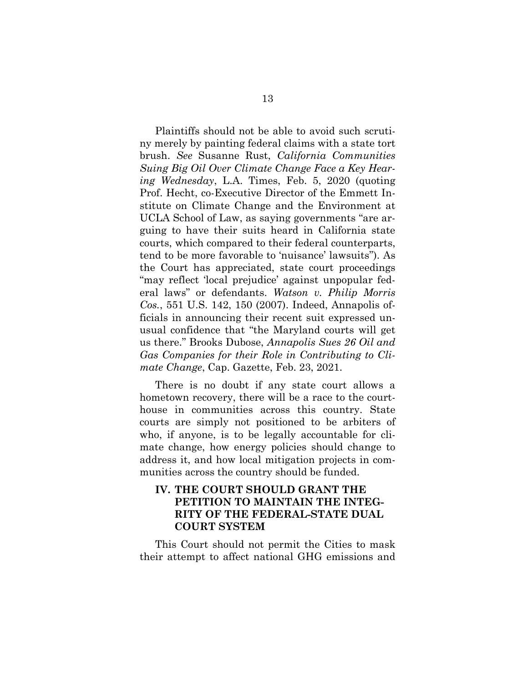Plaintiffs should not be able to avoid such scrutiny merely by painting federal claims with a state tort brush. *See* Susanne Rust, *California Communities Suing Big Oil Over Climate Change Face a Key Hearing Wednesday*, L.A. Times, Feb. 5, 2020 (quoting Prof. Hecht, co-Executive Director of the Emmett Institute on Climate Change and the Environment at UCLA School of Law, as saying governments "are arguing to have their suits heard in California state courts, which compared to their federal counterparts, tend to be more favorable to 'nuisance' lawsuits"). As the Court has appreciated, state court proceedings "may reflect 'local prejudice' against unpopular federal laws" or defendants. *Watson v. Philip Morris Cos.*, 551 U.S. 142, 150 (2007). Indeed, Annapolis officials in announcing their recent suit expressed unusual confidence that "the Maryland courts will get us there." Brooks Dubose, *Annapolis Sues 26 Oil and Gas Companies for their Role in Contributing to Climate Change*, Cap. Gazette, Feb. 23, 2021.

There is no doubt if any state court allows a hometown recovery, there will be a race to the courthouse in communities across this country. State courts are simply not positioned to be arbiters of who, if anyone, is to be legally accountable for climate change, how energy policies should change to address it, and how local mitigation projects in communities across the country should be funded.

## **IV. THE COURT SHOULD GRANT THE PETITION TO MAINTAIN THE INTEG-RITY OF THE FEDERAL-STATE DUAL COURT SYSTEM**

This Court should not permit the Cities to mask their attempt to affect national GHG emissions and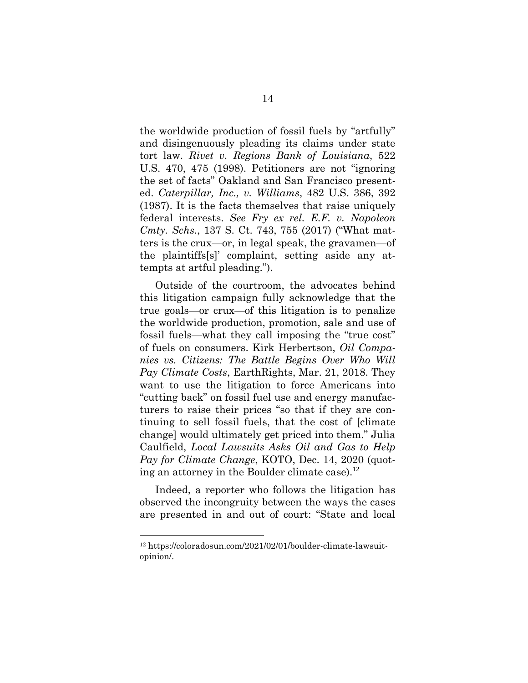the worldwide production of fossil fuels by "artfully" and disingenuously pleading its claims under state tort law. *Rivet v. Regions Bank of Louisiana*, 522 U.S. 470, 475 (1998). Petitioners are not "ignoring the set of facts" Oakland and San Francisco presented. *Caterpillar, Inc., v. Williams*, 482 U.S. 386, 392 (1987). It is the facts themselves that raise uniquely federal interests. *See Fry ex rel. E.F. v. Napoleon Cmty. Schs.*, 137 S. Ct. 743, 755 (2017) ("What matters is the crux—or, in legal speak, the gravamen—of the plaintiffs[s]' complaint, setting aside any attempts at artful pleading.").

Outside of the courtroom, the advocates behind this litigation campaign fully acknowledge that the true goals—or crux—of this litigation is to penalize the worldwide production, promotion, sale and use of fossil fuels—what they call imposing the "true cost" of fuels on consumers. Kirk Herbertson, *Oil Companies vs. Citizens: The Battle Begins Over Who Will Pay Climate Costs*, EarthRights, Mar. 21, 2018. They want to use the litigation to force Americans into "cutting back" on fossil fuel use and energy manufacturers to raise their prices "so that if they are continuing to sell fossil fuels, that the cost of [climate change] would ultimately get priced into them." Julia Caulfield, *Local Lawsuits Asks Oil and Gas to Help Pay for Climate Change*, KOTO, Dec. 14, 2020 (quoting an attorney in the Boulder climate case).<sup>12</sup>

Indeed, a reporter who follows the litigation has observed the incongruity between the ways the cases are presented in and out of court: "State and local

<sup>12</sup> https://coloradosun.com/2021/02/01/boulder-climate-lawsuitopinion/.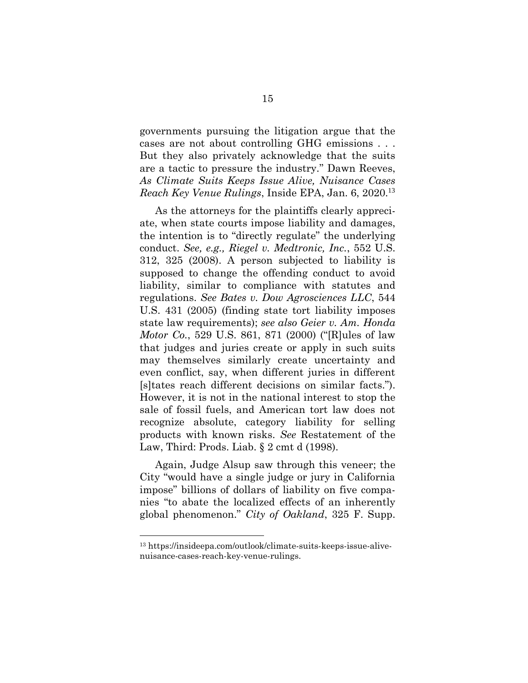governments pursuing the litigation argue that the cases are not about controlling GHG emissions . . . But they also privately acknowledge that the suits are a tactic to pressure the industry." Dawn Reeves, *As Climate Suits Keeps Issue Alive, Nuisance Cases Reach Key Venue Rulings*, Inside EPA, Jan. 6, 2020. 13

As the attorneys for the plaintiffs clearly appreciate, when state courts impose liability and damages, the intention is to "directly regulate" the underlying conduct. *See, e.g., Riegel v. Medtronic, Inc.*, 552 U.S. 312, 325 (2008). A person subjected to liability is supposed to change the offending conduct to avoid liability, similar to compliance with statutes and regulations. *See Bates v. Dow Agrosciences LLC*, 544 U.S. 431 (2005) (finding state tort liability imposes state law requirements); *see also Geier v. Am. Honda Motor Co.*, 529 U.S. 861, 871 (2000) ("[R]ules of law that judges and juries create or apply in such suits may themselves similarly create uncertainty and even conflict, say, when different juries in different [s]tates reach different decisions on similar facts."). However, it is not in the national interest to stop the sale of fossil fuels, and American tort law does not recognize absolute, category liability for selling products with known risks. *See* Restatement of the Law, Third: Prods. Liab. § 2 cmt d (1998).

Again, Judge Alsup saw through this veneer; the City "would have a single judge or jury in California impose" billions of dollars of liability on five companies "to abate the localized effects of an inherently global phenomenon." *City of Oakland*, 325 F. Supp.

<sup>13</sup> https://insideepa.com/outlook/climate-suits-keeps-issue-alivenuisance-cases-reach-key-venue-rulings.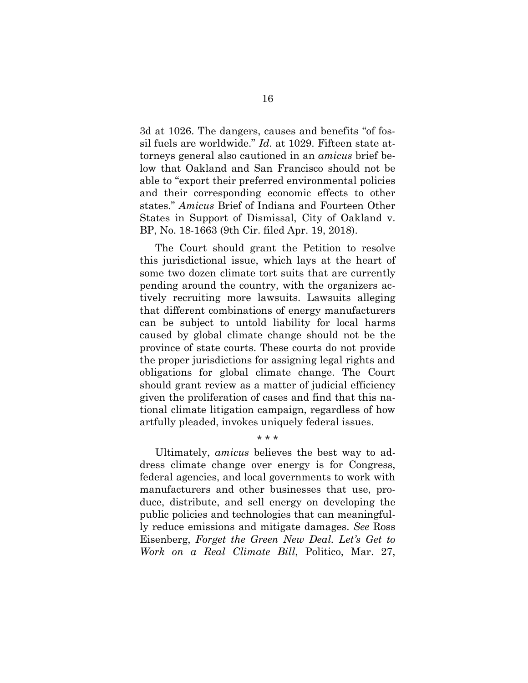3d at 1026. The dangers, causes and benefits "of fossil fuels are worldwide." *Id*. at 1029. Fifteen state attorneys general also cautioned in an *amicus* brief below that Oakland and San Francisco should not be able to "export their preferred environmental policies and their corresponding economic effects to other states." *Amicus* Brief of Indiana and Fourteen Other States in Support of Dismissal, City of Oakland v. BP, No. 18-1663 (9th Cir. filed Apr. 19, 2018).

The Court should grant the Petition to resolve this jurisdictional issue, which lays at the heart of some two dozen climate tort suits that are currently pending around the country, with the organizers actively recruiting more lawsuits. Lawsuits alleging that different combinations of energy manufacturers can be subject to untold liability for local harms caused by global climate change should not be the province of state courts. These courts do not provide the proper jurisdictions for assigning legal rights and obligations for global climate change. The Court should grant review as a matter of judicial efficiency given the proliferation of cases and find that this national climate litigation campaign, regardless of how artfully pleaded, invokes uniquely federal issues.

Ultimately, *amicus* believes the best way to address climate change over energy is for Congress, federal agencies, and local governments to work with manufacturers and other businesses that use, produce, distribute, and sell energy on developing the public policies and technologies that can meaningfully reduce emissions and mitigate damages. *See* Ross Eisenberg, *Forget the Green New Deal. Let's Get to Work on a Real Climate Bill*, Politico, Mar. 27,

\* \* \*